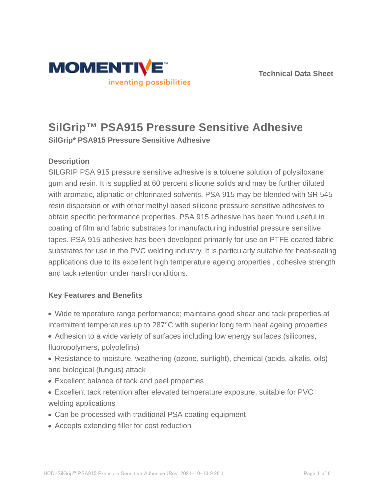

# **SilGrip™ PSA915 Pressure Sensitive Adhesive**

**SilGrip\* PSA915 Pressure Sensitive Adhesive**

## **Description**

SILGRIP PSA 915 pressure sensitive adhesive is a toluene solution of polysiloxane gum and resin. It is supplied at 60 percent silicone solids and may be further diluted with aromatic, aliphatic or chlorinated solvents. PSA 915 may be blended with SR 545 resin dispersion or with other methyl based silicone pressure sensitive adhesives to obtain specific performance properties. PSA 915 adhesive has been found useful in coating of film and fabric substrates for manufacturing industrial pressure sensitive tapes. PSA 915 adhesive has been developed primarily for use on PTFE coated fabric substrates for use in the PVC welding industry. It is particularly suitable for heat-sealing applications due to its excellent high temperature ageing properties , cohesive strength and tack retention under harsh conditions.

## **Key Features and Benefits**

- Wide temperature range performance; maintains good shear and tack properties at intermittent temperatures up to 287°C with superior long term heat ageing properties
- Adhesion to a wide variety of surfaces including low energy surfaces (silicones, fluoropolymers, polyolefins)
- Resistance to moisture, weathering (ozone, sunlight), chemical (acids, alkalis, oils) and biological (fungus) attack
- Excellent balance of tack and peel properties
- Excellent tack retention after elevated temperature exposure, suitable for PVC welding applications
- Can be processed with traditional PSA coating equipment
- Accepts extending filler for cost reduction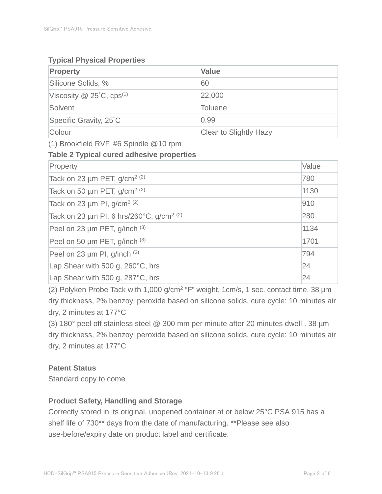## **Typical Physical Properties**

| <b>Property</b>                             | <b>Value</b>           |
|---------------------------------------------|------------------------|
| Silicone Solids, %                          | 60                     |
| Viscosity $\omega$ 25°C, cps <sup>(1)</sup> | 22,000                 |
| Solvent                                     | <b>Toluene</b>         |
| Specific Gravity, 25°C                      | 0.99                   |
| Colour                                      | Clear to Slightly Hazy |

(1) Brookfield RVF, #6 Spindle @10 rpm

## **Table 2 Typical cured adhesive properties**

| Property                                             | Value |
|------------------------------------------------------|-------|
| Tack on 23 $\mu$ m PET, g/cm <sup>2 (2)</sup>        | 780   |
| Tack on 50 $\mu$ m PET, g/cm <sup>2 (2)</sup>        | 1130  |
| Tack on 23 $\mu$ m PI, g/cm <sup>2 (2)</sup>         | 910   |
| Tack on 23 µm PI, 6 hrs/260°C, g/cm <sup>2 (2)</sup> | 280   |
| Peel on 23 µm PET, g/inch (3)                        | 1134  |
| Peel on 50 µm PET, g/inch (3)                        | 1701  |
| Peel on 23 $\mu$ m PI, g/inch $(3)$                  | 794   |
| Lap Shear with 500 g, 260°C, hrs                     | 24    |
| Lap Shear with 500 g, 287°C, hrs                     | 24    |

(2) Polyken Probe Tack with 1,000 g/cm<sup>2</sup> "F" weight, 1cm/s, 1 sec. contact time, 38 µm dry thickness, 2% benzoyl peroxide based on silicone solids, cure cycle: 10 minutes air dry, 2 minutes at 177°C

(3) 180° peel off stainless steel @ 300 mm per minute after 20 minutes dwell , 38 µm dry thickness, 2% benzoyl peroxide based on silicone solids, cure cycle: 10 minutes air dry, 2 minutes at 177°C

## **Patent Status**

Standard copy to come

## **Product Safety, Handling and Storage**

Correctly stored in its original, unopened container at or below 25°C PSA 915 has a shelf life of 730\*\* days from the date of manufacturing. \*\*Please see also use-before/expiry date on product label and certificate.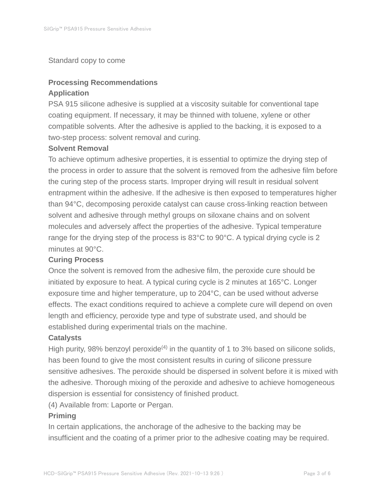#### Standard copy to come

## **Processing Recommendations Application**

PSA 915 silicone adhesive is supplied at a viscosity suitable for conventional tape coating equipment. If necessary, it may be thinned with toluene, xylene or other compatible solvents. After the adhesive is applied to the backing, it is exposed to a two-step process: solvent removal and curing.

#### **Solvent Removal**

To achieve optimum adhesive properties, it is essential to optimize the drying step of the process in order to assure that the solvent is removed from the adhesive film before the curing step of the process starts. Improper drying will result in residual solvent entrapment within the adhesive. If the adhesive is then exposed to temperatures higher than 94°C, decomposing peroxide catalyst can cause cross-linking reaction between solvent and adhesive through methyl groups on siloxane chains and on solvent molecules and adversely affect the properties of the adhesive. Typical temperature range for the drying step of the process is 83°C to 90°C. A typical drying cycle is 2 minutes at 90°C.

#### **Curing Process**

Once the solvent is removed from the adhesive film, the peroxide cure should be initiated by exposure to heat. A typical curing cycle is 2 minutes at 165°C. Longer exposure time and higher temperature, up to 204°C, can be used without adverse effects. The exact conditions required to achieve a complete cure will depend on oven length and efficiency, peroxide type and type of substrate used, and should be established during experimental trials on the machine.

#### **Catalysts**

High purity, 98% benzoyl peroxide<sup>(4)</sup> in the quantity of 1 to 3% based on silicone solids, has been found to give the most consistent results in curing of silicone pressure sensitive adhesives. The peroxide should be dispersed in solvent before it is mixed with the adhesive. Thorough mixing of the peroxide and adhesive to achieve homogeneous dispersion is essential for consistency of finished product.

(4) Available from: Laporte or Pergan.

#### **Priming**

In certain applications, the anchorage of the adhesive to the backing may be insufficient and the coating of a primer prior to the adhesive coating may be required.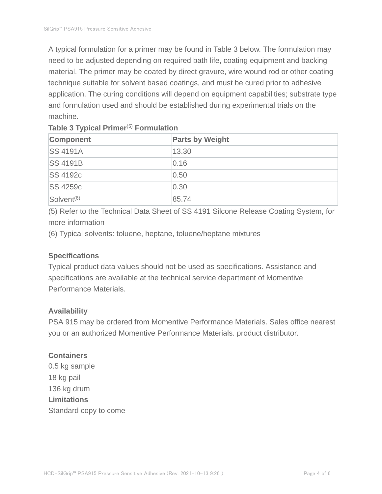A typical formulation for a primer may be found in Table 3 below. The formulation may need to be adjusted depending on required bath life, coating equipment and backing material. The primer may be coated by direct gravure, wire wound rod or other coating technique suitable for solvent based coatings, and must be cured prior to adhesive application. The curing conditions will depend on equipment capabilities; substrate type and formulation used and should be established during experimental trials on the machine.

| Component              | <b>Parts by Weight</b> |
|------------------------|------------------------|
| <b>SS 4191A</b>        | 13.30                  |
| <b>SS 4191B</b>        | 0.16                   |
| <b>SS 4192c</b>        | 0.50                   |
| <b>SS 4259c</b>        | 0.30                   |
| Solvent <sup>(6)</sup> | 85.74                  |

## **Table 3 Typical Primer**(5) **Formulation**

(5) Refer to the Technical Data Sheet of SS 4191 Silcone Release Coating System, for more information

(6) Typical solvents: toluene, heptane, toluene/heptane mixtures

## **Specifications**

Typical product data values should not be used as specifications. Assistance and specifications are available at the technical service department of Momentive Performance Materials.

## **Availability**

PSA 915 may be ordered from Momentive Performance Materials. Sales office nearest you or an authorized Momentive Performance Materials. product distributor.

## **Containers**

0.5 kg sample 18 kg pail 136 kg drum **Limitations** Standard copy to come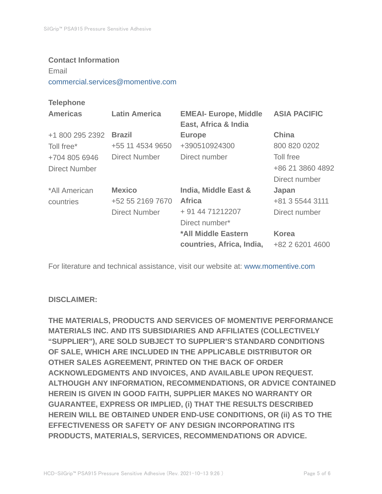#### **Contact Information**

Email

commercial.services@momentive.com

## **Telephone**

| <b>Americas</b> | <b>Latin America</b> | <b>EMEAI- Europe, Middle</b><br>East, Africa & India | <b>ASIA PACIFIC</b> |
|-----------------|----------------------|------------------------------------------------------|---------------------|
| +1 800 295 2392 | <b>Brazil</b>        | <b>Europe</b>                                        | <b>China</b>        |
| Toll free*      | +55 11 4534 9650     | +390510924300                                        | 800 820 0202        |
| +704 805 6946   | Direct Number        | Direct number                                        | Toll free           |
| Direct Number   |                      |                                                      | +86 21 3860 4892    |
|                 |                      |                                                      | Direct number       |
| *All American   | <b>Mexico</b>        | India, Middle East &                                 | Japan               |
| countries       | +52 55 2169 7670     | <b>Africa</b>                                        | +81 3 5544 3111     |
|                 | <b>Direct Number</b> | + 91 44 71212207                                     | Direct number       |
|                 |                      | Direct number*                                       |                     |
|                 |                      | *All Middle Eastern                                  | <b>Korea</b>        |
|                 |                      | countries, Africa, India,                            | +82 2 6201 4600     |

For literature and technical assistance, visit our website at: www.momentive.com

## **DISCLAIMER:**

**THE MATERIALS, PRODUCTS AND SERVICES OF MOMENTIVE PERFORMANCE MATERIALS INC. AND ITS SUBSIDIARIES AND AFFILIATES (COLLECTIVELY "SUPPLIER"), ARE SOLD SUBJECT TO SUPPLIER'S STANDARD CONDITIONS OF SALE, WHICH ARE INCLUDED IN THE APPLICABLE DISTRIBUTOR OR OTHER SALES AGREEMENT, PRINTED ON THE BACK OF ORDER ACKNOWLEDGMENTS AND INVOICES, AND AVAILABLE UPON REQUEST. ALTHOUGH ANY INFORMATION, RECOMMENDATIONS, OR ADVICE CONTAINED HEREIN IS GIVEN IN GOOD FAITH, SUPPLIER MAKES NO WARRANTY OR GUARANTEE, EXPRESS OR IMPLIED, (i) THAT THE RESULTS DESCRIBED HEREIN WILL BE OBTAINED UNDER END-USE CONDITIONS, OR (ii) AS TO THE EFFECTIVENESS OR SAFETY OF ANY DESIGN INCORPORATING ITS PRODUCTS, MATERIALS, SERVICES, RECOMMENDATIONS OR ADVICE.**